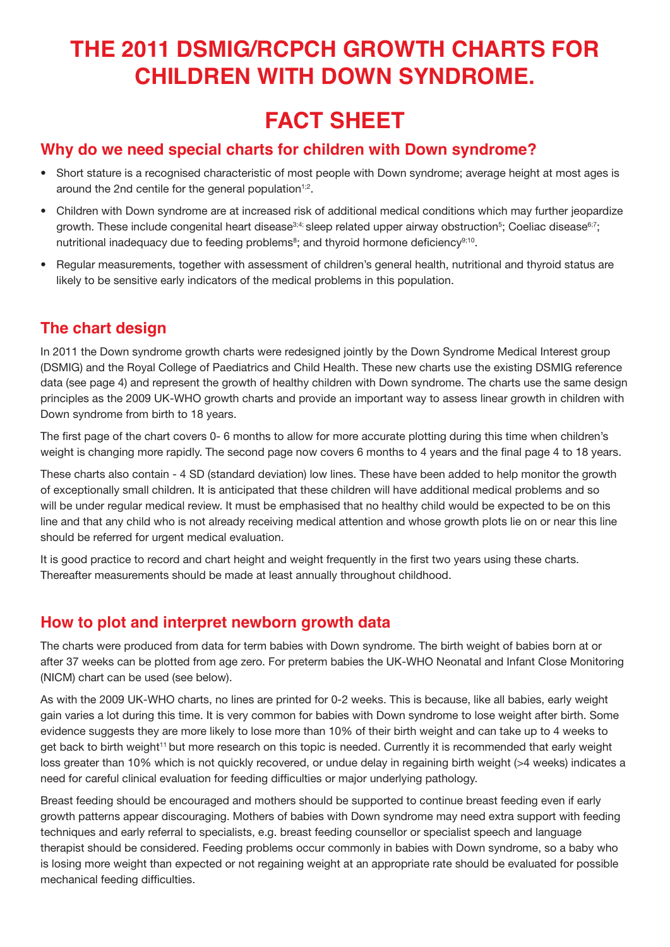# **THE 2011 DSMIG/RCPCH GROWTH CHARTS FOR CHILDREN WITH DOWN SYNDROME.**

# **FACT SHEET**

### **Why do we need special charts for children with Down syndrome?**

- Short stature is a recognised characteristic of most people with Down syndrome; average height at most ages is around the 2nd centile for the general population<sup> $1,2$ </sup>.
- Children with Down syndrome are at increased risk of additional medical conditions which may further jeopardize growth. These include congenital heart disease<sup>3;4;</sup> sleep related upper airway obstruction<sup>5</sup>; Coeliac disease<sup>8;7</sup>; nutritional inadequacy due to feeding problems<sup>8</sup>; and thyroid hormone deficiency<sup>9;10</sup>.
- Regular measurements, together with assessment of children's general health, nutritional and thyroid status are likely to be sensitive early indicators of the medical problems in this population.

### **The chart design**

In 2011 the Down syndrome growth charts were redesigned jointly by the Down Syndrome Medical Interest group (DSMIG) and the Royal College of Paediatrics and Child Health. These new charts use the existing DSMIG reference data (see page 4) and represent the growth of healthy children with Down syndrome. The charts use the same design principles as the 2009 UK-WHO growth charts and provide an important way to assess linear growth in children with Down syndrome from birth to 18 years.

The first page of the chart covers 0- 6 months to allow for more accurate plotting during this time when children's weight is changing more rapidly. The second page now covers 6 months to 4 years and the final page 4 to 18 years.

These charts also contain - 4 SD (standard deviation) low lines. These have been added to help monitor the growth of exceptionally small children. It is anticipated that these children will have additional medical problems and so will be under regular medical review. It must be emphasised that no healthy child would be expected to be on this line and that any child who is not already receiving medical attention and whose growth plots lie on or near this line should be referred for urgent medical evaluation.

It is good practice to record and chart height and weight frequently in the first two years using these charts. Thereafter measurements should be made at least annually throughout childhood.

### **How to plot and interpret newborn growth data**

The charts were produced from data for term babies with Down syndrome. The birth weight of babies born at or after 37 weeks can be plotted from age zero. For preterm babies the UK-WHO Neonatal and Infant Close Monitoring (NICM) chart can be used (see below).

As with the 2009 UK-WHO charts, no lines are printed for 0-2 weeks. This is because, like all babies, early weight gain varies a lot during this time. It is very common for babies with Down syndrome to lose weight after birth. Some evidence suggests they are more likely to lose more than 10% of their birth weight and can take up to 4 weeks to get back to birth weight<sup>11</sup> but more research on this topic is needed. Currently it is recommended that early weight loss greater than 10% which is not quickly recovered, or undue delay in regaining birth weight (>4 weeks) indicates a need for careful clinical evaluation for feeding difficulties or major underlying pathology.

Breast feeding should be encouraged and mothers should be supported to continue breast feeding even if early growth patterns appear discouraging. Mothers of babies with Down syndrome may need extra support with feeding techniques and early referral to specialists, e.g. breast feeding counsellor or specialist speech and language therapist should be considered. Feeding problems occur commonly in babies with Down syndrome, so a baby who is losing more weight than expected or not regaining weight at an appropriate rate should be evaluated for possible mechanical feeding difficulties.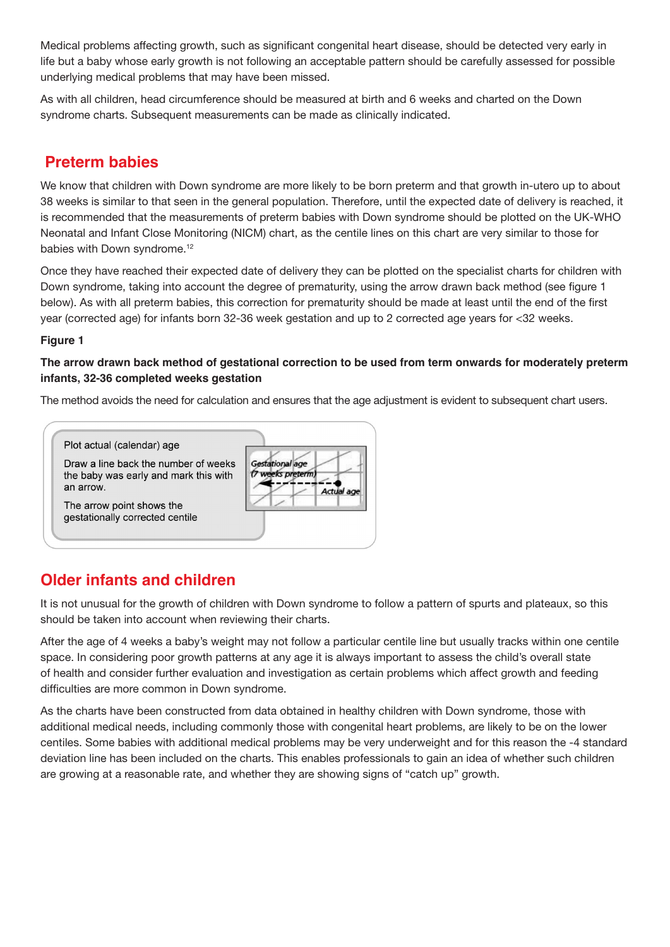Medical problems affecting growth, such as significant congenital heart disease, should be detected very early in life but a baby whose early growth is not following an acceptable pattern should be carefully assessed for possible underlying medical problems that may have been missed.

As with all children, head circumference should be measured at birth and 6 weeks and charted on the Down syndrome charts. Subsequent measurements can be made as clinically indicated.

### **Preterm babies**

We know that children with Down syndrome are more likely to be born preterm and that growth in-utero up to about 38 weeks is similar to that seen in the general population. Therefore, until the expected date of delivery is reached, it is recommended that the measurements of preterm babies with Down syndrome should be plotted on the UK-WHO Neonatal and Infant Close Monitoring (NICM) chart, as the centile lines on this chart are very similar to those for babies with Down syndrome.<sup>12</sup>

Once they have reached their expected date of delivery they can be plotted on the specialist charts for children with Down syndrome, taking into account the degree of prematurity, using the arrow drawn back method (see figure 1 below). As with all preterm babies, this correction for prematurity should be made at least until the end of the first year (corrected age) for infants born 32-36 week gestation and up to 2 corrected age years for <32 weeks.

#### **Figure 1**

#### **The arrow drawn back method of gestational correction to be used from term onwards for moderately preterm infants, 32-36 completed weeks gestation**

The method avoids the need for calculation and ensures that the age adjustment is evident to subsequent chart users.

Draw a line back the number of weeks the baby was early and mark this with an arrow.

The arrow point shows the gestationally corrected centile

Plot actual (calendar) age

## **Older infants and children**

It is not unusual for the growth of children with Down syndrome to follow a pattern of spurts and plateaux, so this should be taken into account when reviewing their charts.

After the age of 4 weeks a baby's weight may not follow a particular centile line but usually tracks within one centile space. In considering poor growth patterns at any age it is always important to assess the child's overall state of health and consider further evaluation and investigation as certain problems which affect growth and feeding difficulties are more common in Down syndrome.

As the charts have been constructed from data obtained in healthy children with Down syndrome, those with additional medical needs, including commonly those with congenital heart problems, are likely to be on the lower centiles. Some babies with additional medical problems may be very underweight and for this reason the -4 standard deviation line has been included on the charts. This enables professionals to gain an idea of whether such children are growing at a reasonable rate, and whether they are showing signs of "catch up" growth.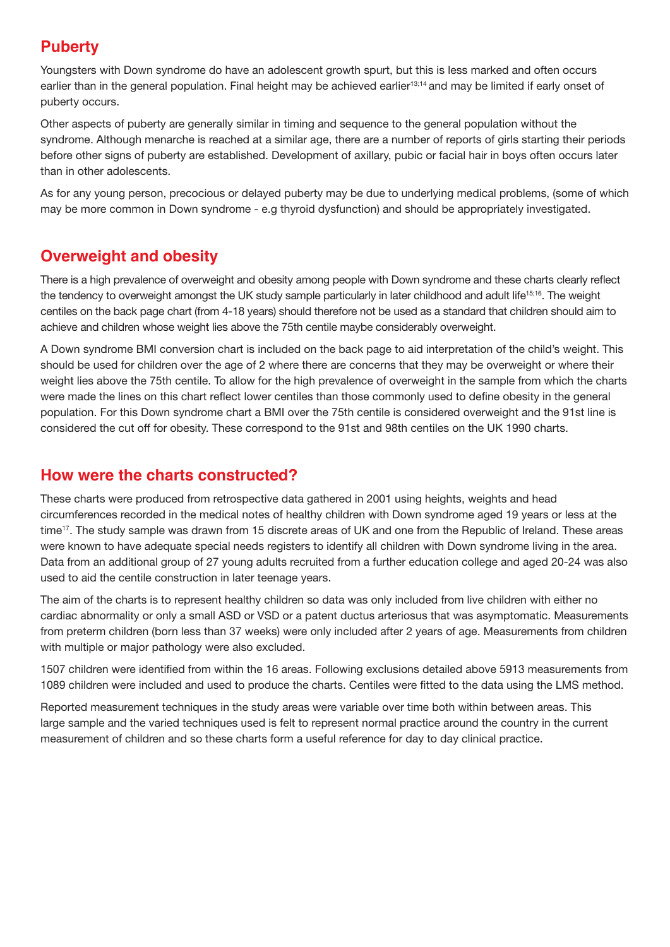### **Puberty**

Youngsters with Down syndrome do have an adolescent growth spurt, but this is less marked and often occurs earlier than in the general population. Final height may be achieved earlier<sup>13;14</sup> and may be limited if early onset of puberty occurs.

Other aspects of puberty are generally similar in timing and sequence to the general population without the syndrome. Although menarche is reached at a similar age, there are a number of reports of girls starting their periods before other signs of puberty are established. Development of axillary, pubic or facial hair in boys often occurs later than in other adolescents.

As for any young person, precocious or delayed puberty may be due to underlying medical problems, (some of which may be more common in Down syndrome - e.g thyroid dysfunction) and should be appropriately investigated.

## **Overweight and obesity**

There is a high prevalence of overweight and obesity among people with Down syndrome and these charts clearly reflect the tendency to overweight amongst the UK study sample particularly in later childhood and adult life<sup>15;16</sup>. The weight centiles on the back page chart (from 4-18 years) should therefore not be used as a standard that children should aim to achieve and children whose weight lies above the 75th centile maybe considerably overweight.

A Down syndrome BMI conversion chart is included on the back page to aid interpretation of the child's weight. This should be used for children over the age of 2 where there are concerns that they may be overweight or where their weight lies above the 75th centile. To allow for the high prevalence of overweight in the sample from which the charts were made the lines on this chart reflect lower centiles than those commonly used to define obesity in the general population. For this Down syndrome chart a BMI over the 75th centile is considered overweight and the 91st line is considered the cut off for obesity. These correspond to the 91st and 98th centiles on the UK 1990 charts.

### **How were the charts constructed?**

These charts were produced from retrospective data gathered in 2001 using heights, weights and head circumferences recorded in the medical notes of healthy children with Down syndrome aged 19 years or less at the time<sup>17</sup>. The study sample was drawn from 15 discrete areas of UK and one from the Republic of Ireland. These areas were known to have adequate special needs registers to identify all children with Down syndrome living in the area. Data from an additional group of 27 young adults recruited from a further education college and aged 20-24 was also used to aid the centile construction in later teenage years.

The aim of the charts is to represent healthy children so data was only included from live children with either no cardiac abnormality or only a small ASD or VSD or a patent ductus arteriosus that was asymptomatic. Measurements from preterm children (born less than 37 weeks) were only included after 2 years of age. Measurements from children with multiple or major pathology were also excluded.

1507 children were identified from within the 16 areas. Following exclusions detailed above 5913 measurements from 1089 children were included and used to produce the charts. Centiles were fitted to the data using the LMS method.

Reported measurement techniques in the study areas were variable over time both within between areas. This large sample and the varied techniques used is felt to represent normal practice around the country in the current measurement of children and so these charts form a useful reference for day to day clinical practice.